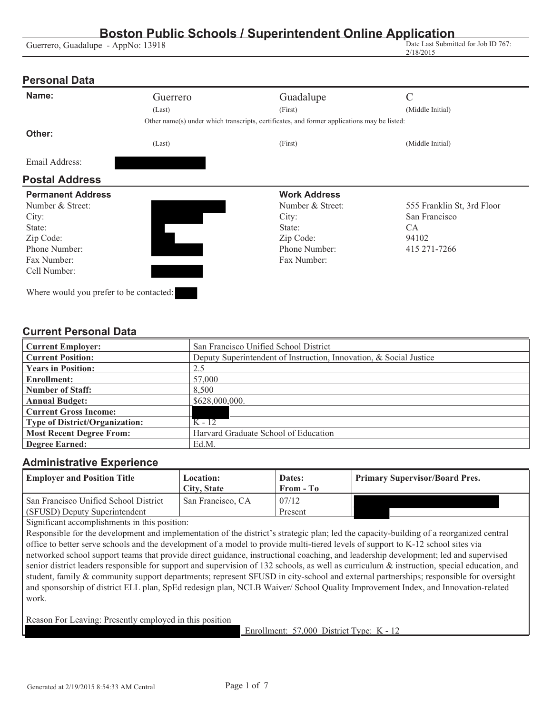# **Boston Public Schools / Superintendent Online Application**<br>e - AppNo: 13918<br>Date Last Submitted for Job ID 767:

Guerrero, Guadalupe - AppNo: 13918

2/18/2015

### **Personal Data**

| Name:                                   | Guerrero | Guadalupe                                                                                   | C                          |
|-----------------------------------------|----------|---------------------------------------------------------------------------------------------|----------------------------|
|                                         | (Last)   | (First)                                                                                     | (Middle Initial)           |
|                                         |          | Other name(s) under which transcripts, certificates, and former applications may be listed: |                            |
| Other:                                  | (Last)   | (First)                                                                                     | (Middle Initial)           |
| Email Address:                          |          |                                                                                             |                            |
| <b>Postal Address</b>                   |          |                                                                                             |                            |
| <b>Permanent Address</b>                |          | <b>Work Address</b>                                                                         |                            |
| Number & Street:                        |          | Number & Street:                                                                            | 555 Franklin St, 3rd Floor |
| City:                                   |          | City:                                                                                       | San Francisco              |
| State:                                  |          | State:                                                                                      | CA                         |
| Zip Code:                               |          | Zip Code:                                                                                   | 94102                      |
| Phone Number:                           |          | Phone Number:                                                                               | 415 271 - 7266             |
| Fax Number:                             |          | Fax Number:                                                                                 |                            |
| Cell Number:                            |          |                                                                                             |                            |
| Where would you prefer to be contacted: |          |                                                                                             |                            |

### **Current Personal Data**

| <b>Current Employer:</b>              | San Francisco Unified School District                              |
|---------------------------------------|--------------------------------------------------------------------|
| <b>Current Position:</b>              | Deputy Superintendent of Instruction, Innovation, & Social Justice |
| <b>Years in Position:</b>             | 2.5                                                                |
| Enrollment:                           | 57,000                                                             |
| <b>Number of Staff:</b>               | 8.500                                                              |
| <b>Annual Budget:</b>                 | \$628,000,000.                                                     |
| <b>Current Gross Income:</b>          |                                                                    |
| <b>Type of District/Organization:</b> | $K - 12$                                                           |
| <b>Most Recent Degree From:</b>       | Harvard Graduate School of Education                               |
| <b>Degree Earned:</b>                 | Ed.M.                                                              |

#### **Administrative Experience**

| <b>Employer and Position Title</b>    | <b>Location:</b><br>City, State | Dates:<br>From - To | Primary Supervisor/Board Pres. |
|---------------------------------------|---------------------------------|---------------------|--------------------------------|
| San Francisco Unified School District | San Francisco, CA               | 07/12               |                                |
| (SFUSD) Deputy Superintendent         |                                 | Present             |                                |

Significant accomplishments in this position:

Responsible for the development and implementation of the district's strategic plan; led the capacity-building of a reorganized central office to better serve schools and the development of a model to provide multi-tiered levels of support to K-12 school sites via networked school support teams that provide direct guidance, instructional coaching, and leadership development; led and supervised senior district leaders responsible for support and supervision of 132 schools, as well as curriculum & instruction, special education, and student, family & community support departments; represent SFUSD in city-school and external partnerships; responsible for oversight and sponsorship of district ELL plan, SpEd redesign plan, NCLB Waiver/ School Quality Improvement Index, and Innovation-related work.

Reason For Leaving: Presently employed in this position

Enrollment: 57,000 District Type: K - 12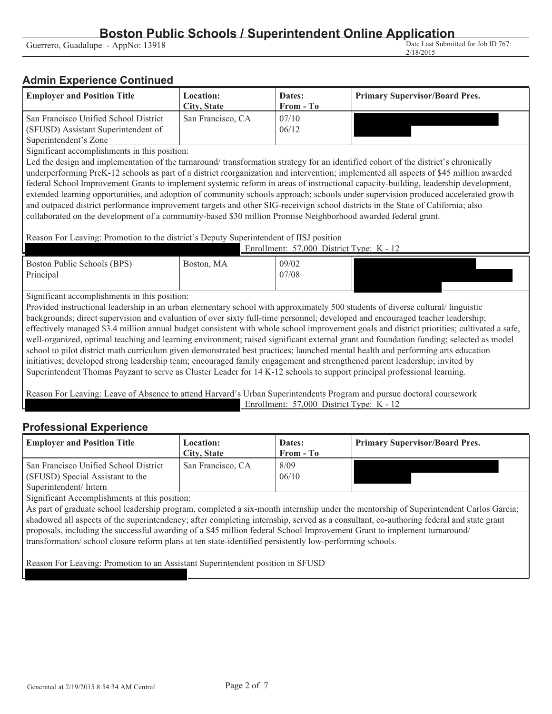2/18/2015

## **Admin Experience Continued**

| <b>Employer and Position Title</b>    | <b>Location:</b>  | Dates:    | <b>Primary Supervisor/Board Pres.</b> |
|---------------------------------------|-------------------|-----------|---------------------------------------|
|                                       | City, State       | From - To |                                       |
| San Francisco Unified School District | San Francisco, CA | 07/10     |                                       |
| (SFUSD) Assistant Superintendent of   |                   | 06/12     |                                       |
| Superintendent's Zone                 |                   |           |                                       |

Significant accomplishments in this position:

Led the design and implementation of the turnaround/ transformation strategy for an identified cohort of the district's chronically underperforming PreK-12 schools as part of a district reorganization and intervention; implemented all aspects of \$45 million awarded federal School Improvement Grants to implement systemic reform in areas of instructional capacity-building, leadership development, extended learning opportunities, and adoption of community schools approach; schools under supervision produced accelerated growth and outpaced district performance improvement targets and other SIG-receivign school districts in the State of California; also collaborated on the development of a community-based \$30 million Promise Neighborhood awarded federal grant.

#### Reason For Leaving: Promotion to the district's Deputy Superintendent of IISJ position

|                                                 |            | Enrollment: 57,000 District Type: K - 12 |  |
|-------------------------------------------------|------------|------------------------------------------|--|
| <b>Boston Public Schools (BPS)</b><br>Principal | Boston, MA | 09/02<br>07/08                           |  |

Significant accomplishments in this position:

Provided instructional leadership in an urban elementary school with approximately 500 students of diverse cultural/ linguistic backgrounds; direct supervision and evaluation of over sixty full-time personnel; developed and encouraged teacher leadership; effectively managed \$3.4 million annual budget consistent with whole school improvement goals and district priorities; cultivated a safe, well-organized, optimal teaching and learning environment; raised significant external grant and foundation funding; selected as model school to pilot district math curriculum given demonstrated best practices; launched mental health and performing arts education initiatives; developed strong leadership team; encouraged family engagement and strengthened parent leadership; invited by Superintendent Thomas Payzant to serve as Cluster Leader for 14 K-12 schools to support principal professional learning.

Reason For Leaving: Leave of Absence to attend Harvard's Urban Superintendents Program and pursue doctoral coursework Enrollment: 57,000 District Type: K - 12

### **Professional Experience**

| <b>Employer and Position Title</b>    | <b>Location:</b>  | Dates:    | Primary Supervisor/Board Pres. |
|---------------------------------------|-------------------|-----------|--------------------------------|
|                                       | City, State       | From - To |                                |
| San Francisco Unified School District | San Francisco, CA | 8/09      |                                |
| (SFUSD) Special Assistant to the      |                   | 06/10     |                                |
| Superintendent/Intern                 |                   |           |                                |

Significant Accomplishments at this position:

As part of graduate school leadership program, completed a six-month internship under the mentorship of Superintendent Carlos Garcia; shadowed all aspects of the superintendency; after completing internship, served as a consultant, co-authoring federal and state grant proposals, including the successful awarding of a \$45 million federal School Improvement Grant to implement turnaround/ transformation/ school closure reform plans at ten state-identified persistently low-performing schools.

Reason For Leaving: Promotion to an Assistant Superintendent position in SFUSD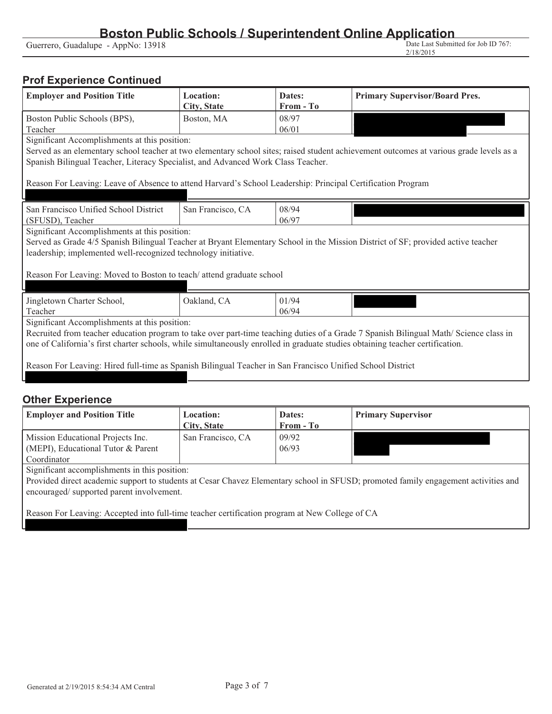Date Last Submitted for Job ID 767:<br>2/18/2015

## **Prof Experience Continued**

| <b>Employer and Position Title</b>                                                                                                                                                                                                                                                                                                                                                                                                   | <b>Location:</b><br>City, State                                                                                                                                                                                                                                                                                                                                                             | Dates:<br>From - To | <b>Primary Supervisor/Board Pres.</b>                                                                                            |  |  |
|--------------------------------------------------------------------------------------------------------------------------------------------------------------------------------------------------------------------------------------------------------------------------------------------------------------------------------------------------------------------------------------------------------------------------------------|---------------------------------------------------------------------------------------------------------------------------------------------------------------------------------------------------------------------------------------------------------------------------------------------------------------------------------------------------------------------------------------------|---------------------|----------------------------------------------------------------------------------------------------------------------------------|--|--|
| Boston Public Schools (BPS),<br>Teacher                                                                                                                                                                                                                                                                                                                                                                                              | Boston, MA                                                                                                                                                                                                                                                                                                                                                                                  | 08/97<br>06/01      |                                                                                                                                  |  |  |
|                                                                                                                                                                                                                                                                                                                                                                                                                                      | Significant Accomplishments at this position:<br>Served as an elementary school teacher at two elementary school sites; raised student achievement outcomes at various grade levels as a<br>Spanish Bilingual Teacher, Literacy Specialist, and Advanced Work Class Teacher.<br>Reason For Leaving: Leave of Absence to attend Harvard's School Leadership: Principal Certification Program |                     |                                                                                                                                  |  |  |
| San Francisco Unified School District<br>(SFUSD), Teacher                                                                                                                                                                                                                                                                                                                                                                            | San Francisco, CA                                                                                                                                                                                                                                                                                                                                                                           | 08/94<br>06/97      |                                                                                                                                  |  |  |
| Significant Accomplishments at this position:<br>leadership; implemented well-recognized technology initiative.<br>Reason For Leaving: Moved to Boston to teach/attend graduate school                                                                                                                                                                                                                                               |                                                                                                                                                                                                                                                                                                                                                                                             |                     | Served as Grade 4/5 Spanish Bilingual Teacher at Bryant Elementary School in the Mission District of SF; provided active teacher |  |  |
| Jingletown Charter School,<br>Teacher                                                                                                                                                                                                                                                                                                                                                                                                | Oakland, CA                                                                                                                                                                                                                                                                                                                                                                                 | 01/94<br>06/94      |                                                                                                                                  |  |  |
| Significant Accomplishments at this position:<br>Recruited from teacher education program to take over part-time teaching duties of a Grade 7 Spanish Bilingual Math/ Science class in<br>one of California's first charter schools, while simultaneously enrolled in graduate studies obtaining teacher certification.<br>Reason For Leaving: Hired full-time as Spanish Bilingual Teacher in San Francisco Unified School District |                                                                                                                                                                                                                                                                                                                                                                                             |                     |                                                                                                                                  |  |  |

### **Other Experience**

| <b>Employer and Position Title</b> | <b>Location:</b>  | Dates:           | <b>Primary Supervisor</b> |
|------------------------------------|-------------------|------------------|---------------------------|
|                                    | City, State       | <b>From - To</b> |                           |
| Mission Educational Projects Inc.  | San Francisco, CA | 09/92            |                           |
| (MEPI), Educational Tutor & Parent |                   | 06/93            |                           |
| Coordinator                        |                   |                  |                           |

Significant accomplishments in this position:

Provided direct academic support to students at Cesar Chavez Elementary school in SFUSD; promoted family engagement activities and encouraged/ supported parent involvement.

Reason For Leaving: Accepted into full-time teacher certification program at New College of CA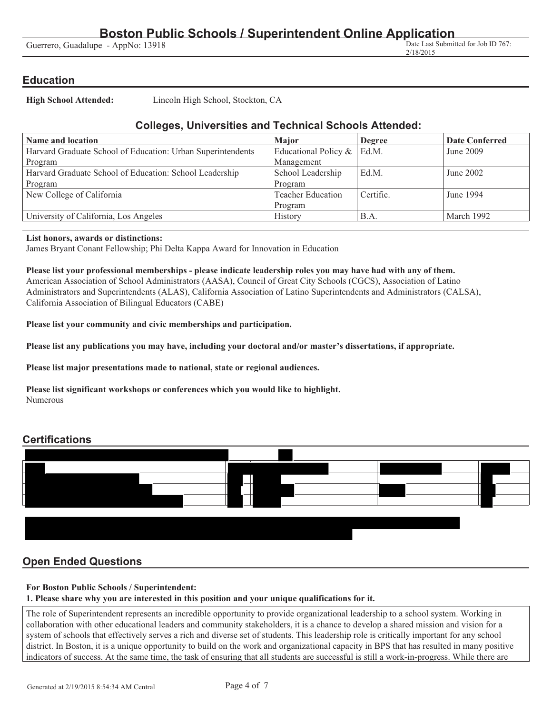2/18/2015

## **Education**

**High School Attended:** Lincoln High School, Stockton, CA

# **Colleges, Universities and Technical Schools Attended:**

| Name and location                                           | Major                    | <b>Degree</b> | <b>Date Conferred</b> |
|-------------------------------------------------------------|--------------------------|---------------|-----------------------|
| Harvard Graduate School of Education: Urban Superintendents | Educational Policy $\&$  | Ed.M.         | June 2009             |
| Program                                                     | Management               |               |                       |
| Harvard Graduate School of Education: School Leadership     | School Leadership        | Ed.M.         | June 2002             |
| Program                                                     | Program                  |               |                       |
| New College of California                                   | <b>Teacher Education</b> | Certific.     | June 1994             |
|                                                             | Program                  |               |                       |
| University of California, Los Angeles                       | History                  | B.A.          | March 1992            |

#### **List honors, awards or distinctions:**

James Bryant Conant Fellowship; Phi Delta Kappa Award for Innovation in Education

#### **Please list your professional memberships - please indicate leadership roles you may have had with any of them.**

American Association of School Administrators (AASA), Council of Great City Schools (CGCS), Association of Latino Administrators and Superintendents (ALAS), California Association of Latino Superintendents and Administrators (CALSA), California Association of Bilingual Educators (CABE)

**Please list your community and civic memberships and participation.**

**Please list any publications you may have, including your doctoral and/or master's dissertations, if appropriate.**

**Please list major presentations made to national, state or regional audiences.**

**Please list significant workshops or conferences which you would like to highlight.** Numerous

# **Certifications**



# **Open Ended Questions**

#### **For Boston Public Schools / Superintendent:**

#### **1. Please share why you are interested in this position and your unique qualifications for it.**

The role of Superintendent represents an incredible opportunity to provide organizational leadership to a school system. Working in collaboration with other educational leaders and community stakeholders, it is a chance to develop a shared mission and vision for a system of schools that effectively serves a rich and diverse set of students. This leadership role is critically important for any school district. In Boston, it is a unique opportunity to build on the work and organizational capacity in BPS that has resulted in many positive indicators of success. At the same time, the task of ensuring that all students are successful is still a work-in-progress. While there are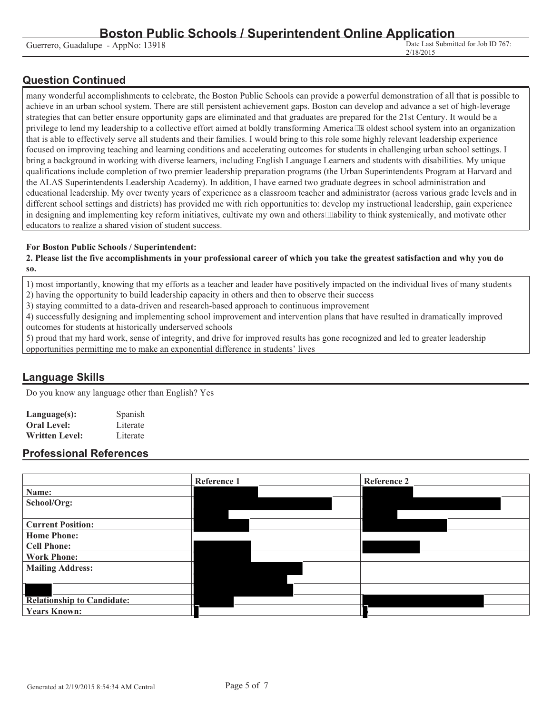# **Question Continued**

many wonderful accomplishments to celebrate, the Boston Public Schools can provide a powerful demonstration of all that is possible to achieve in an urban school system. There are still persistent achievement gaps. Boston can develop and advance a set of high-leverage strategies that can better ensure opportunity gaps are eliminated and that graduates are prepared for the 21st Century. It would be a privilege to lend my leadership to a collective effort aimed at boldly transforming America s oldest school system into an organization that is able to effectively serve all students and their families. I would bring to this role some highly relevant leadership experience focused on improving teaching and learning conditions and accelerating outcomes for students in challenging urban school settings. I bring a background in working with diverse learners, including English Language Learners and students with disabilities. My unique qualifications include completion of two premier leadership preparation programs (the Urban Superintendents Program at Harvard and the ALAS Superintendents Leadership Academy). In addition, I have earned two graduate degrees in school administration and educational leadership. My over twenty years of experience as a classroom teacher and administrator (across various grade levels and in different school settings and districts) has provided me with rich opportunities to: develop my instructional leadership, gain experience in designing and implementing key reform initiatives, cultivate my own and others ability to think systemically, and motivate other educators to realize a shared vision of student success.

#### **For Boston Public Schools / Superintendent:**

**2. Please list the five accomplishments in your professional career of which you take the greatest satisfaction and why you do so.**

1) most importantly, knowing that my efforts as a teacher and leader have positively impacted on the individual lives of many students 2) having the opportunity to build leadership capacity in others and then to observe their success

3) staying committed to a data-driven and research-based approach to continuous improvement

4) successfully designing and implementing school improvement and intervention plans that have resulted in dramatically improved outcomes for students at historically underserved schools

5) proud that my hard work, sense of integrity, and drive for improved results has gone recognized and led to greater leadership opportunities permitting me to make an exponential difference in students' lives

# **Language Skills**

Do you know any language other than English? Yes

| Language(s):          | Spanish  |
|-----------------------|----------|
| <b>Oral Level:</b>    | Literate |
| <b>Written Level:</b> | Literate |

### **Professional References**

|                                   | Reference 1 | <b>Reference 2</b> |
|-----------------------------------|-------------|--------------------|
| Name:                             |             |                    |
| School/Org:                       |             |                    |
|                                   |             |                    |
| <b>Current Position:</b>          |             |                    |
| <b>Home Phone:</b>                |             |                    |
| <b>Cell Phone:</b>                |             |                    |
| <b>Work Phone:</b>                |             |                    |
| <b>Mailing Address:</b>           |             |                    |
|                                   |             |                    |
|                                   |             |                    |
| <b>Relationship to Candidate:</b> |             |                    |
| <b>Years Known:</b>               |             |                    |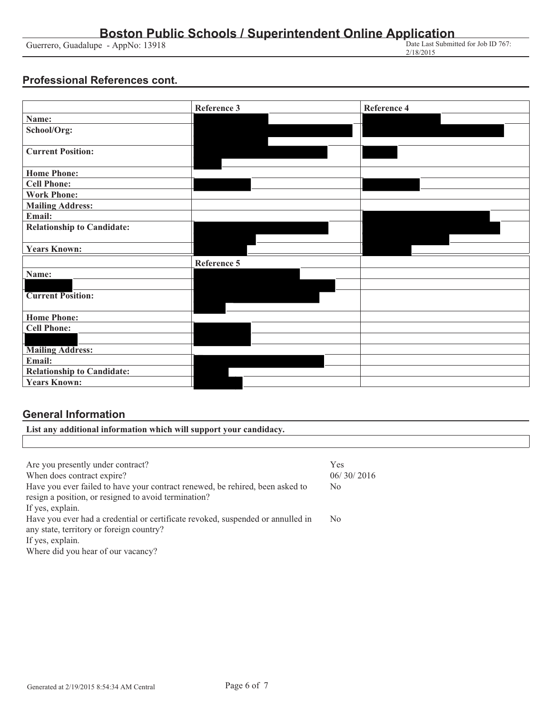2/18/2015

# **Professional References cont.**

|                                   | Reference 3 | Reference 4 |
|-----------------------------------|-------------|-------------|
| Name:                             |             |             |
| School/Org:                       |             |             |
| <b>Current Position:</b>          |             |             |
| <b>Home Phone:</b>                |             |             |
| <b>Cell Phone:</b>                |             |             |
| <b>Work Phone:</b>                |             |             |
| <b>Mailing Address:</b>           |             |             |
| Email:                            |             |             |
| <b>Relationship to Candidate:</b> |             |             |
| <b>Years Known:</b>               |             |             |
|                                   | Reference 5 |             |
| Name:                             |             |             |
|                                   |             |             |
| <b>Current Position:</b>          |             |             |
| <b>Home Phone:</b>                |             |             |
| <b>Cell Phone:</b>                |             |             |
|                                   |             |             |
| <b>Mailing Address:</b>           |             |             |
| Email:                            |             |             |
| <b>Relationship to Candidate:</b> |             |             |
| <b>Years Known:</b>               |             |             |

# **General Information**

| List any additional information which will support your candidacy.            |            |  |
|-------------------------------------------------------------------------------|------------|--|
|                                                                               |            |  |
|                                                                               |            |  |
| Are you presently under contract?                                             | Yes        |  |
| When does contract expire?                                                    | 06/30/2016 |  |
| Have you ever failed to have your contract renewed, be rehired, been asked to | No.        |  |

Have you ever failed to have your contract renewed, be rehired, been asked to resign a position, or resigned to avoid termination?

If yes, explain.

Have you ever had a credential or certificate revoked, suspended or annulled in any state, territory or foreign country? No

If yes, explain.

Where did you hear of our vacancy?